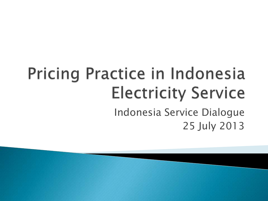#### Pricing Practice in Indonesia **Electricity Service** Indonesia Service Dialogue 25 July 2013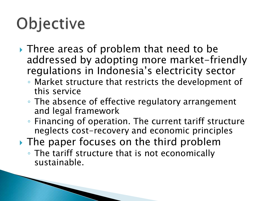# Objective

- ▶ Three areas of problem that need to be addressed by adopting more market-friendly regulations in Indonesia's electricity sector
	- Market structure that restricts the development of this service
	- The absence of effective regulatory arrangement and legal framework
	- Financing of operation. The current tariff structure neglects cost-recovery and economic principles
- If The paper focuses on the third problem
	- The tariff structure that is not economically sustainable.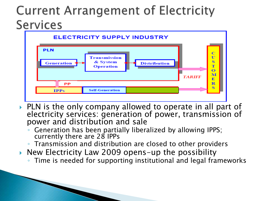#### Current Arrangement of Electricity **Services**



- PLN is the only company allowed to operate in all part of electricity services: generation of power, transmission of power and distribution and sale
	- Generation has been partially liberalized by allowing IPPS; currently there are 28 IPPs
	- Transmission and distribution are closed to other providers
- New Electricity Law 2009 opens-up the possibility
	- Time is needed for supporting institutional and legal frameworks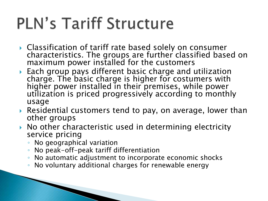# **PLN's Tariff Structure**

- ▶ Classification of tariff rate based solely on consumer characteristics. The groups are further classified based on maximum power installed for the customers
- Each group pays different basic charge and utilization charge. The basic charge is higher for costumers with higher power installed in their premises, while power utilization is priced progressively according to monthly usage
- ▶ Residential customers tend to pay, on average, lower than other groups
- $\triangleright$  No other characteristic used in determining electricity service pricing
	- No geographical variation
	- No peak-off-peak tariff differentiation
	- No automatic adjustment to incorporate economic shocks
	- No voluntary additional charges for renewable energy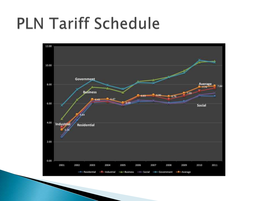#### **PLN Tariff Schedule**

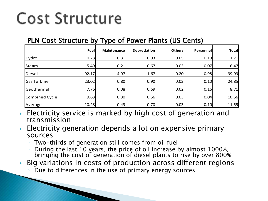## **Cost Structure**

#### PLN Cost Structure by Type of Power Plants (US Cents)

|                    | Fuel  | <b>Maintenance</b> | <b>Depreciation</b> | Others | Personnel | <b>Total</b> |
|--------------------|-------|--------------------|---------------------|--------|-----------|--------------|
| Hydro              | 0.23  | 0.31               | 0.93                | 0.05   | 0.19      | 1.71         |
| Steam              | 5.49  | 0.21               | 0.67                | 0.03   | 0.07      | 6.47         |
| Diesel             | 92.17 | 4.97               | 1.67                | 0.20   | 0.98      | 99.99        |
| <b>Gas Turbine</b> | 23.02 | 0.80               | 0.90                | 0.03   | 0.10      | 24.85        |
| Geothermal         | 7.76  | 0.08               | 0.69                | 0.02   | 0.16      | 8.71         |
| Combined Cycle     | 9.63  | 0.30               | 0.56                | 0.03   | 0.04      | 10.56        |
| Average            | 10.28 | 0.43               | 0.70                | 0.03   | 0.10      | 11.55        |

- Electricity service is marked by high cost of generation and transmission
- Electricity generation depends a lot on expensive primary sources
	- Two-thirds of generation still comes from oil fuel
	- During the last 10 years, the price of oil increase by almost 1000%, bringing the cost of generation of diesel plants to rise by over 800%
- Big variations in costs of production across different regions
	- Due to differences in the use of primary energy sources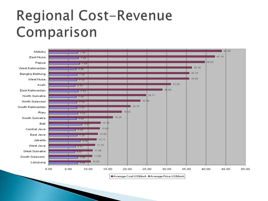#### Regional Cost-Revenue Comparison

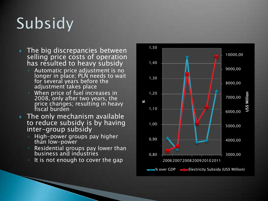## Subsidy

- $\triangleright$  The big discrepancies between selling price costs of operation has resulted to heavy subsidy
	- Automatic price adjustment is no longer in place; PLN needs to wait for several years before the adjustment takes place
	- When price of fuel increases in 2008, only after two years, the price changes; resulting in heavy fiscal burden
- **The only mechanism available** to reduce subsidy is by having inter-group subsidy
	- High-power groups pay higher than low-power
	- Residential groups pay lower than business and industries
	- It is not enough to cover the gap